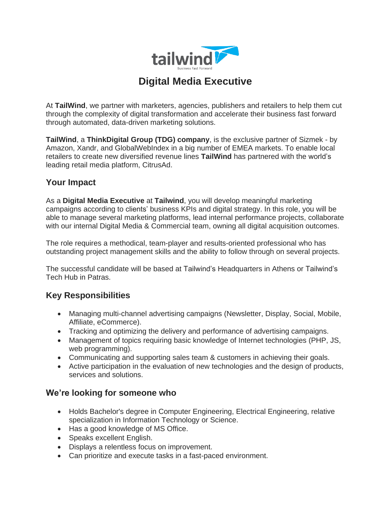

# **Digital Media Executive**

At **TailWind**, we partner with marketers, agencies, publishers and retailers to help them cut through the complexity of digital transformation and accelerate their business fast forward through automated, data-driven marketing solutions.

**TailWind**, a **ThinkDigital Group (TDG) company**, is the exclusive partner of Sizmek - by Amazon, Xandr, and GlobalWebIndex in a big number of EMEA markets. To enable local retailers to create new diversified revenue lines **TailWind** has partnered with the world's leading retail media platform, CitrusAd.

# **Your Impact**

As a **Digital Media Executive** at **Tailwind**, you will develop meaningful marketing campaigns according to clients' business KPIs and digital strategy. In this role, you will be able to manage several marketing platforms, lead internal performance projects, collaborate with our internal Digital Media & Commercial team, owning all digital acquisition outcomes.

The role requires a methodical, team-player and results-oriented professional who has outstanding project management skills and the ability to follow through on several projects.

The successful candidate will be based at Tailwind's Headquarters in Athens or Tailwind's Tech Hub in Patras.

## **Key Responsibilities**

- Managing multi-channel advertising campaigns (Newsletter, Display, Social, Mobile, Affiliate, eCommerce).
- Tracking and optimizing the delivery and performance of advertising campaigns.
- Management of topics requiring basic knowledge of Internet technologies (PHP, JS, web programming).
- Communicating and supporting sales team & customers in achieving their goals.
- Active participation in the evaluation of new technologies and the design of products, services and solutions.

# **We're looking for someone who**

- Holds Bachelor's degree in Computer Engineering, Electrical Engineering, relative specialization in Information Technology or Science.
- Has a good knowledge of MS Office.
- Speaks excellent English.
- Displays a relentless focus on improvement.
- Can prioritize and execute tasks in a fast-paced environment.